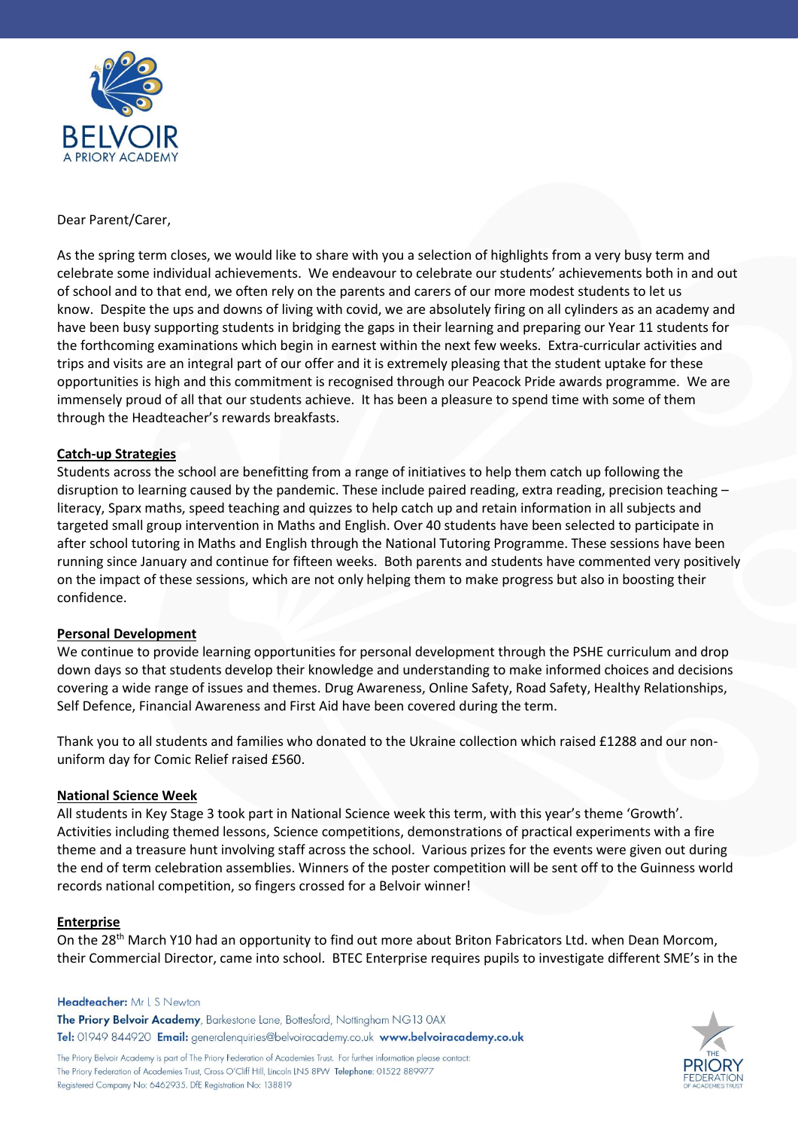

Dear Parent/Carer,

As the spring term closes, we would like to share with you a selection of highlights from a very busy term and celebrate some individual achievements. We endeavour to celebrate our students' achievements both in and out of school and to that end, we often rely on the parents and carers of our more modest students to let us know. Despite the ups and downs of living with covid, we are absolutely firing on all cylinders as an academy and have been busy supporting students in bridging the gaps in their learning and preparing our Year 11 students for the forthcoming examinations which begin in earnest within the next few weeks. Extra-curricular activities and trips and visits are an integral part of our offer and it is extremely pleasing that the student uptake for these opportunities is high and this commitment is recognised through our Peacock Pride awards programme. We are immensely proud of all that our students achieve. It has been a pleasure to spend time with some of them through the Headteacher's rewards breakfasts.

### **Catch-up Strategies**

Students across the school are benefitting from a range of initiatives to help them catch up following the disruption to learning caused by the pandemic. These include paired reading, extra reading, precision teaching – literacy, Sparx maths, speed teaching and quizzes to help catch up and retain information in all subjects and targeted small group intervention in Maths and English. Over 40 students have been selected to participate in after school tutoring in Maths and English through the National Tutoring Programme. These sessions have been running since January and continue for fifteen weeks. Both parents and students have commented very positively on the impact of these sessions, which are not only helping them to make progress but also in boosting their confidence.

### **Personal Development**

We continue to provide learning opportunities for personal development through the PSHE curriculum and drop down days so that students develop their knowledge and understanding to make informed choices and decisions covering a wide range of issues and themes. Drug Awareness, Online Safety, Road Safety, Healthy Relationships, Self Defence, Financial Awareness and First Aid have been covered during the term.

Thank you to all students and families who donated to the Ukraine collection which raised £1288 and our nonuniform day for Comic Relief raised £560.

### **National Science Week**

All students in Key Stage 3 took part in National Science week this term, with this year's theme 'Growth'. Activities including themed lessons, Science competitions, demonstrations of practical experiments with a fire theme and a treasure hunt involving staff across the school. Various prizes for the events were given out during the end of term celebration assemblies. Winners of the poster competition will be sent off to the Guinness world records national competition, so fingers crossed for a Belvoir winner!

### **Enterprise**

On the 28<sup>th</sup> March Y10 had an opportunity to find out more about Briton Fabricators Ltd. when Dean Morcom, their Commercial Director, came into school. BTEC Enterprise requires pupils to investigate different SME's in the

#### Headteacher: Mr L S Newton

The Priory Belvoir Academy, Barkestone Lane, Bottesford, Nottingham NG13 0AX Tel: 01949 844920 Email: generalenquiries@belvoiracademy.co.uk www.belvoiracademy.co.uk



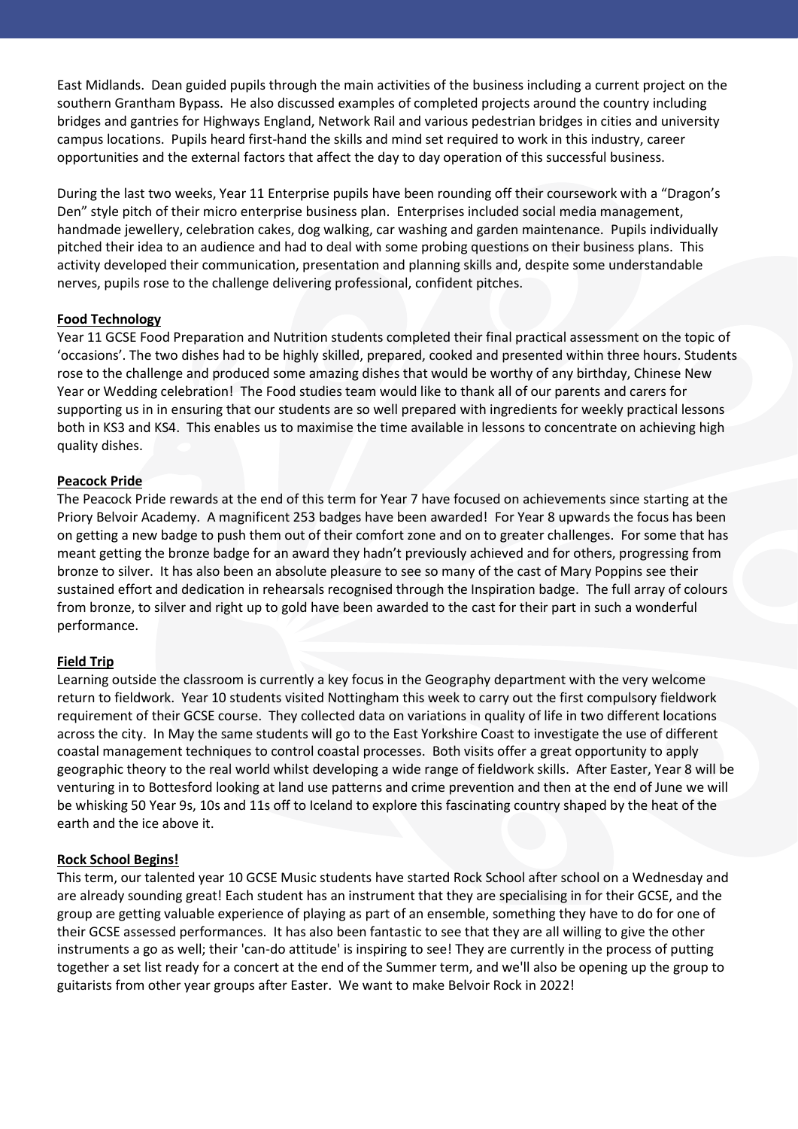East Midlands. Dean guided pupils through the main activities of the business including a current project on the southern Grantham Bypass. He also discussed examples of completed projects around the country including bridges and gantries for Highways England, Network Rail and various pedestrian bridges in cities and university campus locations. Pupils heard first-hand the skills and mind set required to work in this industry, career opportunities and the external factors that affect the day to day operation of this successful business.

During the last two weeks, Year 11 Enterprise pupils have been rounding off their coursework with a "Dragon's Den" style pitch of their micro enterprise business plan. Enterprises included social media management, handmade jewellery, celebration cakes, dog walking, car washing and garden maintenance. Pupils individually pitched their idea to an audience and had to deal with some probing questions on their business plans. This activity developed their communication, presentation and planning skills and, despite some understandable nerves, pupils rose to the challenge delivering professional, confident pitches.

### **Food Technology**

Year 11 GCSE Food Preparation and Nutrition students completed their final practical assessment on the topic of 'occasions'. The two dishes had to be highly skilled, prepared, cooked and presented within three hours. Students rose to the challenge and produced some amazing dishes that would be worthy of any birthday, Chinese New Year or Wedding celebration! The Food studies team would like to thank all of our parents and carers for supporting us in in ensuring that our students are so well prepared with ingredients for weekly practical lessons both in KS3 and KS4. This enables us to maximise the time available in lessons to concentrate on achieving high quality dishes.

### **Peacock Pride**

The Peacock Pride rewards at the end of this term for Year 7 have focused on achievements since starting at the Priory Belvoir Academy. A magnificent 253 badges have been awarded! For Year 8 upwards the focus has been on getting a new badge to push them out of their comfort zone and on to greater challenges. For some that has meant getting the bronze badge for an award they hadn't previously achieved and for others, progressing from bronze to silver. It has also been an absolute pleasure to see so many of the cast of Mary Poppins see their sustained effort and dedication in rehearsals recognised through the Inspiration badge. The full array of colours from bronze, to silver and right up to gold have been awarded to the cast for their part in such a wonderful performance.

### **Field Trip**

Learning outside the classroom is currently a key focus in the Geography department with the very welcome return to fieldwork. Year 10 students visited Nottingham this week to carry out the first compulsory fieldwork requirement of their GCSE course. They collected data on variations in quality of life in two different locations across the city. In May the same students will go to the East Yorkshire Coast to investigate the use of different coastal management techniques to control coastal processes. Both visits offer a great opportunity to apply geographic theory to the real world whilst developing a wide range of fieldwork skills. After Easter, Year 8 will be venturing in to Bottesford looking at land use patterns and crime prevention and then at the end of June we will be whisking 50 Year 9s, 10s and 11s off to Iceland to explore this fascinating country shaped by the heat of the earth and the ice above it.

### **Rock School Begins!**

This term, our talented year 10 GCSE Music students have started Rock School after school on a Wednesday and are already sounding great! Each student has an instrument that they are specialising in for their GCSE, and the group are getting valuable experience of playing as part of an ensemble, something they have to do for one of their GCSE assessed performances. It has also been fantastic to see that they are all willing to give the other instruments a go as well; their 'can-do attitude' is inspiring to see! They are currently in the process of putting together a set list ready for a concert at the end of the Summer term, and we'll also be opening up the group to guitarists from other year groups after Easter. We want to make Belvoir Rock in 2022!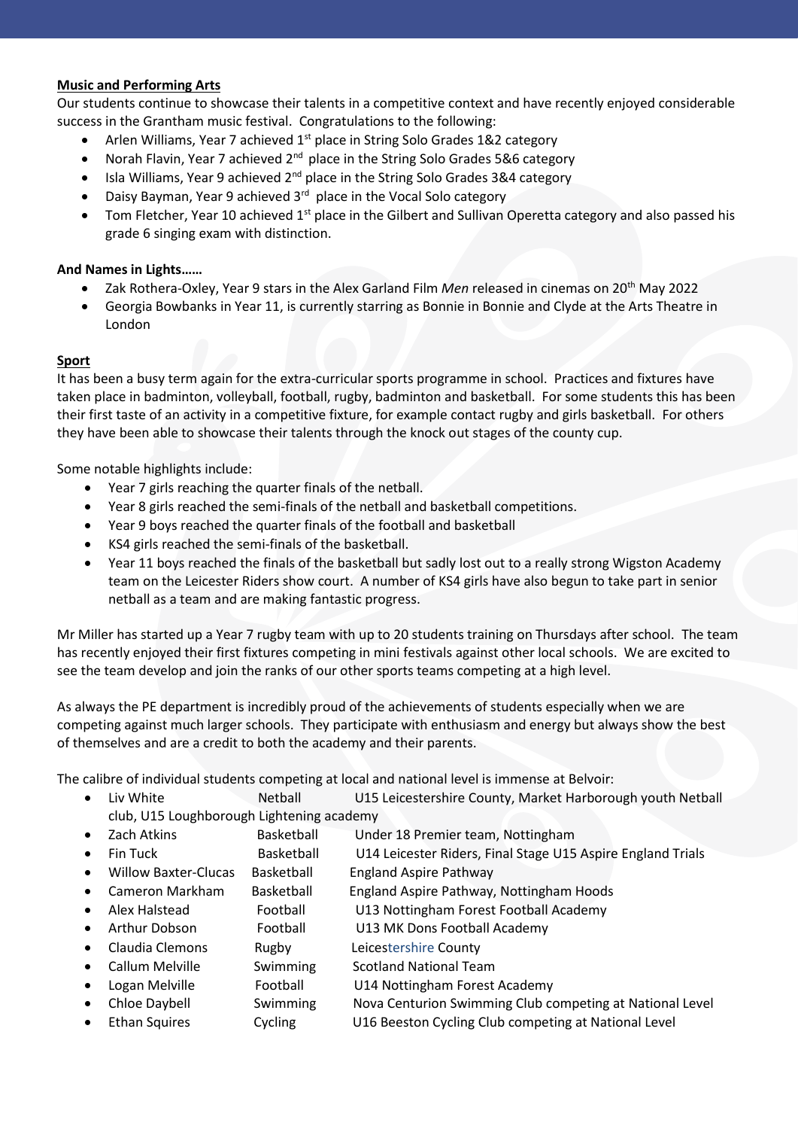### **Music and Performing Arts**

Our students continue to showcase their talents in a competitive context and have recently enjoyed considerable success in the Grantham music festival. Congratulations to the following:

- Arlen Williams, Year 7 achieved 1<sup>st</sup> place in String Solo Grades 1&2 category
- Norah Flavin, Year 7 achieved  $2^{nd}$  place in the String Solo Grades 5&6 category
- $\bullet$  Isla Williams, Year 9 achieved 2<sup>nd</sup> place in the String Solo Grades 3&4 category
- Daisy Bayman, Year 9 achieved 3<sup>rd</sup> place in the Vocal Solo category
- Tom Fletcher, Year 10 achieved 1<sup>st</sup> place in the Gilbert and Sullivan Operetta category and also passed his grade 6 singing exam with distinction.

## **And Names in Lights……**

- Zak Rothera-Oxley, Year 9 stars in the Alex Garland Film *Men* released in cinemas on 20th May 2022
- Georgia Bowbanks in Year 11, is currently starring as Bonnie in Bonnie and Clyde at the Arts Theatre in London

# **Sport**

It has been a busy term again for the extra-curricular sports programme in school. Practices and fixtures have taken place in badminton, volleyball, football, rugby, badminton and basketball. For some students this has been their first taste of an activity in a competitive fixture, for example contact rugby and girls basketball. For others they have been able to showcase their talents through the knock out stages of the county cup.

Some notable highlights include:

- Year 7 girls reaching the quarter finals of the netball.
- Year 8 girls reached the semi-finals of the netball and basketball competitions.
- Year 9 boys reached the quarter finals of the football and basketball
- KS4 girls reached the semi-finals of the basketball.
- Year 11 boys reached the finals of the basketball but sadly lost out to a really strong Wigston Academy team on the Leicester Riders show court. A number of KS4 girls have also begun to take part in senior netball as a team and are making fantastic progress.

Mr Miller has started up a Year 7 rugby team with up to 20 students training on Thursdays after school. The team has recently enjoyed their first fixtures competing in mini festivals against other local schools. We are excited to see the team develop and join the ranks of our other sports teams competing at a high level.

As always the PE department is incredibly proud of the achievements of students especially when we are competing against much larger schools. They participate with enthusiasm and energy but always show the best of themselves and are a credit to both the academy and their parents.

The calibre of individual students competing at local and national level is immense at B

| Calibre of individual students competing at local and national level is immerise at belivon. |                                           |                   |                                                             |
|----------------------------------------------------------------------------------------------|-------------------------------------------|-------------------|-------------------------------------------------------------|
| $\bullet$                                                                                    | Liv White                                 | Netball           | U15 Leicestershire County, Market Harborough youth Netball  |
|                                                                                              | club, U15 Loughborough Lightening academy |                   |                                                             |
| $\bullet$                                                                                    | Zach Atkins                               | <b>Basketball</b> | Under 18 Premier team, Nottingham                           |
|                                                                                              | Fin Tuck                                  | Basketball        | U14 Leicester Riders, Final Stage U15 Aspire England Trials |
| $\bullet$                                                                                    | <b>Willow Baxter-Clucas</b>               | Basketball        | <b>England Aspire Pathway</b>                               |
| $\bullet$                                                                                    | Cameron Markham                           | Basketball        | England Aspire Pathway, Nottingham Hoods                    |
| $\bullet$                                                                                    | Alex Halstead                             | Football          | U13 Nottingham Forest Football Academy                      |
| $\bullet$                                                                                    | Arthur Dobson                             | Football          | U13 MK Dons Football Academy                                |
| $\bullet$                                                                                    | Claudia Clemons                           | Rugby             | Leicestershire County                                       |
| $\bullet$                                                                                    | Callum Melville                           | Swimming          | <b>Scotland National Team</b>                               |
| ٠                                                                                            | Logan Melville                            | Football          | U14 Nottingham Forest Academy                               |
| $\bullet$                                                                                    | Chloe Daybell                             | Swimming          | Nova Centurion Swimming Club competing at National Level    |
| $\bullet$                                                                                    | <b>Ethan Squires</b>                      | Cycling           | U16 Beeston Cycling Club competing at National Level        |
|                                                                                              |                                           |                   |                                                             |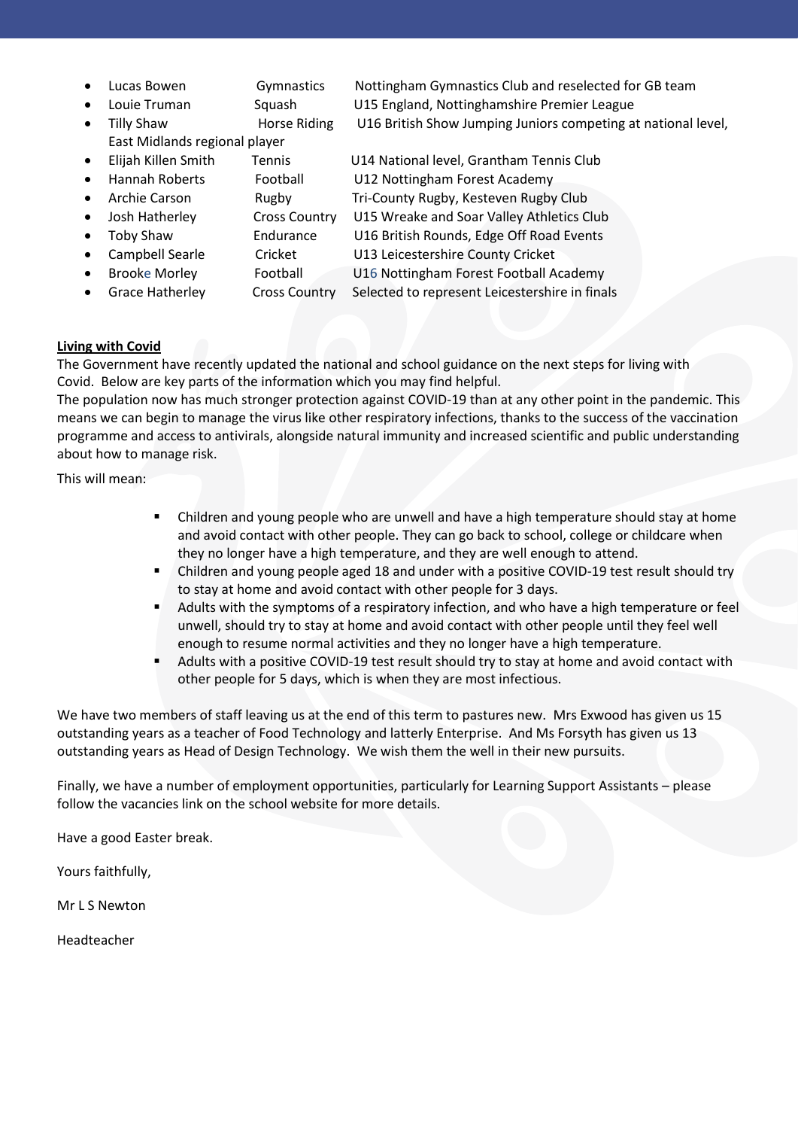- 
- 
- 
- East Midlands regional player
- 
- 
- 
- 
- Toby Shaw Endurance U16 British Rounds, Edge Off Road Events
- 
- 
- 

 Lucas Bowen Gymnastics Nottingham Gymnastics Club and reselected for GB team Louie Truman Squash U15 England, Nottinghamshire Premier League Tilly Shaw Horse Riding U16 British Show Jumping Juniors competing at national level,

 Elijah Killen Smith Tennis U14 National level, Grantham Tennis Club Hannah Roberts Football U12 Nottingham Forest Academy • Archie Carson Rugby Tri-County Rugby, Kesteven Rugby Club Josh Hatherley Cross Country U15 Wreake and Soar Valley Athletics Club

- 
- 
- Campbell Searle Cricket U13 Leicestershire County Cricket Brooke Morley Football U16 Nottingham Forest Football Academy
- Grace Hatherley Cross Country Selected to represent Leicestershire in finals

# **Living with Covid**

The Government have recently updated the national and school guidance on the next steps for living with Covid. Below are key parts of the information which you may find helpful.

The population now has much stronger protection against COVID-19 than at any other point in the pandemic. This means we can begin to manage the virus like other respiratory infections, thanks to the success of the vaccination programme and access to antivirals, alongside natural immunity and increased scientific and public understanding about how to manage risk.

This will mean:

- Children and young people who are unwell and have a high temperature should stay at home and avoid contact with other people. They can go back to school, college or childcare when they no longer have a high temperature, and they are well enough to attend.
- Children and young people aged 18 and under with a positive COVID-19 test result should try to stay at home and avoid contact with other people for 3 days.
- Adults with the symptoms of a respiratory infection, and who have a high temperature or feel unwell, should try to stay at home and avoid contact with other people until they feel well enough to resume normal activities and they no longer have a high temperature.
- Adults with a positive COVID-19 test result should try to stay at home and avoid contact with other people for 5 days, which is when they are most infectious.

We have two members of staff leaving us at the end of this term to pastures new. Mrs Exwood has given us 15 outstanding years as a teacher of Food Technology and latterly Enterprise. And Ms Forsyth has given us 13 outstanding years as Head of Design Technology. We wish them the well in their new pursuits.

Finally, we have a number of employment opportunities, particularly for Learning Support Assistants – please follow the vacancies link on the school website for more details.

Have a good Easter break.

Yours faithfully,

Mr L S Newton

Headteacher